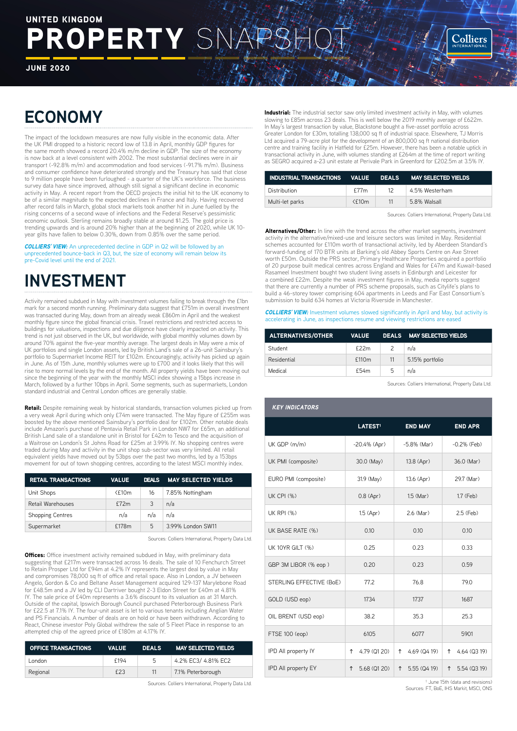# ROPERTY SN UNITED KINGDOM

JUNE 2020

# **ECONOMY**

The impact of the lockdown measures are now fully visible in the economic data. After the UK PMI dropped to a historic record low of 13.8 in April, monthly GDP figures for the same month showed a record 20.4% m/m decline in GDP. The size of the economy is now back at a level consistent with 2002. The most substantial declines were in air transport (-92.8% m/m) and accommodation and food services (-91.7% m/m). Business and consumer confidence have deteriorated strongly and the Treasury has said that close to 9 million people have been furloughed - a quarter of the UK's workforce. The business survey data have since improved, although still signal a significant decline in economic activity in May. A recent report from the OECD projects the initial hit to the UK economy to be of a similar magnitude to the expected declines in France and Italy. Having recovered after record falls in March, global stock markets took another hit in June fuelled by the rising concerns of a second wave of infections and the Federal Reserve's pessimistic economic outlook. Sterling remains broadly stable at around \$1.25. The gold price is trending upwards and is around 20% higher than at the beginning of 2020, while UK 10 year gilts have fallen to below 0.30%, down from 0.85% over the same period.

*COLLIERS' VIEW:* An unprecedented decline in GDP in Q2 will be followed by an unprecedented bounce-back in Q3, but, the size of economy will remain below its pre-Covid level until the end of 2021.

## **INVESTMENT**

Activity remained subdued in May with investment volumes failing to break through the £1bn mark for a second month running. Preliminary data suggest that £751m in overall investment was transacted during May, down from an already weak £860m in April and the weakest monthly figure since the global financial crisis. Travel restrictions and restricted access to buildings for valuations, inspections and due diligence have clearly impacted on activity. This trend is not just observed in the UK, but worldwide, with global monthly volumes down by around 70% against the five-year monthly average. The largest deals in May were a mix of UK portfolios and single London assets, led by British Land's sale of a 26-unit Sainsbury's portfolio to Supermarket Income REIT for £102m. Encouragingly, activity has picked up again in June. As of 15th June, monthly volumes were up to £700 and it looks likely that this will rise to more normal levels by the end of the month. All property yields have been moving out since the beginning of the year with the monthly MSCI index showing a 15bps increase in March, followed by a further 10bps in April. Some segments, such as supermarkets, London standard industrial and Central London offices are generally stable.

Retail: Despite remaining weak by historical standards, transaction volumes picked up from a very weak April during which only £74m were transacted. The May figure of £255m was boosted by the above mentioned Sainsbury's portfolio deal for £102m. Other notable deals include Amazon's purchase of Pentavia Retail Park in London NW7 for £65m, an additional British Land sale of a standalone unit in Bristol for £42m to Tesco and the acquisition of a Waitrose on London's St Johns Road for £25m at 3.99% IY. No shopping centres were traded during May and activity in the unit shop sub-sector was very limited. All retail equivalent yields have moved out by 53bps over the past two months, led by a 153bps movement for out of town shopping centres, according to the latest MSCI monthly index.

| <b>RETAIL TRANSACTIONS</b> | <b>VALUE</b> | <b>DEALS</b> | <b>MAY SELECTED YIELDS</b> |
|----------------------------|--------------|--------------|----------------------------|
| Unit Shops                 | $<$ f10m     | 16           | 7.85% Nottingham           |
| Retail Warehouses          | f72m         | 3            | n/a                        |
| <b>Shopping Centres</b>    | n/a          | n/a          | n/a                        |
| Supermarket                | £178m        | 5            | 3.99% London SW11          |

Sources: Colliers International, Property Data Ltd.

**Offices:** Office investment activity remained subdued in May, with preliminary data suggesting that £217m were transacted across 16 deals. The sale of 10 Fenchurch Street to Retain Prosper Ltd for £94m at 4.2% IY represents the largest deal by value in May and compromises 78,000 sq ft of office and retail space. Also in London, a JV between Angelo, Gordon & Co and Beltane Asset Management acquired 129-137 Marylebone Road for £48.5m and a JV led by CLI Dartriver bought 2-3 Eldon Street for £40m at 4.81% IY. The sale price of £40m represents a 3.6% discount to its valuation as at 31 March. Outside of the capital, Ipswich Borough Council purchased Peterborough Business Park for £22.5 at 7.1% IY. The four-unit asset is let to various tenants including Anglian Water and PS Financials. A number of deals are on hold or have been withdrawn. According to React, Chinese investor Poly Global withdrew the sale of 5 Fleet Place in response to an attempted chip of the agreed price of £180m at 4.17% IY.

| <b>OFFICE TRANSACTIONS</b> | <b>VALUE</b> | <b>DEALS</b> | <b>MAY SELECTED YIELDS</b> |
|----------------------------|--------------|--------------|----------------------------|
| London                     | f194         | 5            | 4.2% EC3/ 4.81% EC2        |
| Regional                   | £23          | 11           | 7.1% Peterborough          |
|                            |              |              |                            |

Sources: Colliers International, Property Data Ltd.

Industrial: The industrial sector saw only limited investment activity in May, with volumes slowing to £85m across 23 deals. This is well below the 2019 monthly average of £622m. In May's largest transaction by value, Blackstone bought a five-asset portfolio across Greater London for £30m, totalling 138,000 sq ft of industrial space. Elsewhere, TJ Morris Ltd acquired a 79-acre plot for the development of an 800,000 sq ft national distribution centre and training facility in Hatfield for £25m. However, there has been a notable uptick in transactional activity in June, with volumes standing at £264m at the time of report writing as SEGRO acquired a-23 unit estate at Perivale Park in Greenford for £202.5m at 3.5% IY.

| INDUSTRIAL TRANSACTIONS    VALUE    DEALS    MAY    SELECTED    YIELDS |          |    |                |
|------------------------------------------------------------------------|----------|----|----------------|
| Distribution                                                           | f77m     | 12 | 4.5% Westerham |
| Multi-let parks                                                        | $<$ f10m | 11 | 5.8% Walsall   |

Sources: Colliers International, Property Data Ltd.

**Colliers** 

Alternatives/Other: In line with the trend across the other market segments, investment activity in the alternative/mixed-use and leisure sectors was limited in May. Residential schemes accounted for £110m worth of transactional activity, led by Aberdeen Standard's forward-funding of 170 BTR units at Barking's old Abbey Sports Centre on Axe Street worth £50m. Outside the PRS sector, Primary Healthcare Properties acquired a portfolio of 20 purpose built medical centres across England and Wales for £47m and Kuwait-based Rasameel Investment bought two student living assets in Edinburgh and Leicester for a combined £22m. Despite the weak investment figures in May, media reports suggest that there are currently a number of PRS scheme proposals, such as Citylife's plans to build a 46-storey tower comprising 604 apartments in Leeds and Far East Consortium's submission to build 634 homes at Victoria Riverside in Manchester.

**COLLIERS' VIEW:** Investment volumes slowed significantly in April and May, but activity is accelerating in June, as inspections resume and viewing restrictions are eased

| <b>ALTERNATIVES/OTHER</b> | <b>VALUE</b>      |                          | DEALS MAY SELECTED YIELDS |
|---------------------------|-------------------|--------------------------|---------------------------|
| Student                   | f22m              | $\overline{\phantom{0}}$ | n/a                       |
| Residential               | £110 <sub>m</sub> | 11                       | 5.15% portfolio           |
| Medical                   | £54m              | 5                        | n/a                       |

Sources: Colliers International, Property Data Ltd.

| <b>KEY INDICATORS</b>    |                     |                   |                   |
|--------------------------|---------------------|-------------------|-------------------|
|                          | LATEST <sup>1</sup> | <b>END MAY</b>    | <b>END APR</b>    |
| UK GDP (m/m)             | $-20.4\%$ (Apr)     | $-5.8%$ (Mar)     | $-0.2%$ (Feb)     |
| UK PMI (composite)       | 30.0 (May)          | 13.8 (Apr)        | 36.0 (Mar)        |
| EURO PMI (composite)     | 31.9 (May)          | 13.6 (Apr)        | 29.7 (Mar)        |
| <b>UK CPI (%)</b>        | $0.8$ (Apr)         | $1.5$ (Mar)       | 1.7 (Feb)         |
| <b>UK RPI (%)</b>        | 1.5 (Apr)           | 2.6 (Mar)         | 2.5 (Feb)         |
| UK BASE RATE (%)         | 0.10                | 0.10              | 0.10              |
| UK 10YR GILT (%)         | 0.25                | 0.23              | 0.33              |
| GBP 3M LIBOR (% eop)     | 0.20                | 0.23              | 0.59              |
| STERLING EFFECTIVE (BoE) | 77.2                | 76.8              | 79.0              |
| GOLD (USD eop)           | 1734                | 1737              | 1687              |
| OIL BRENT (USD eop)      | 38.2                | 35.3              | 25.3              |
| FTSE 100 (eop)           | 6105                | 6077              | 5901              |
| IPD All property IY      | 4.79 (Q1 20)<br>↑   | 4.69 (Q4 19)<br>↑ | 4.64 (Q3 19)<br>↑ |
| IPD All property EY      | 5.68 (Q1 20)<br>↑   | 5.55 (Q4 19)<br>↑ | 5.54 (Q3 19)<br>↑ |

<sup>1</sup> June 15th (data and revisions) Sources: FT, BoE, IHS Markit, MSCI, ONS